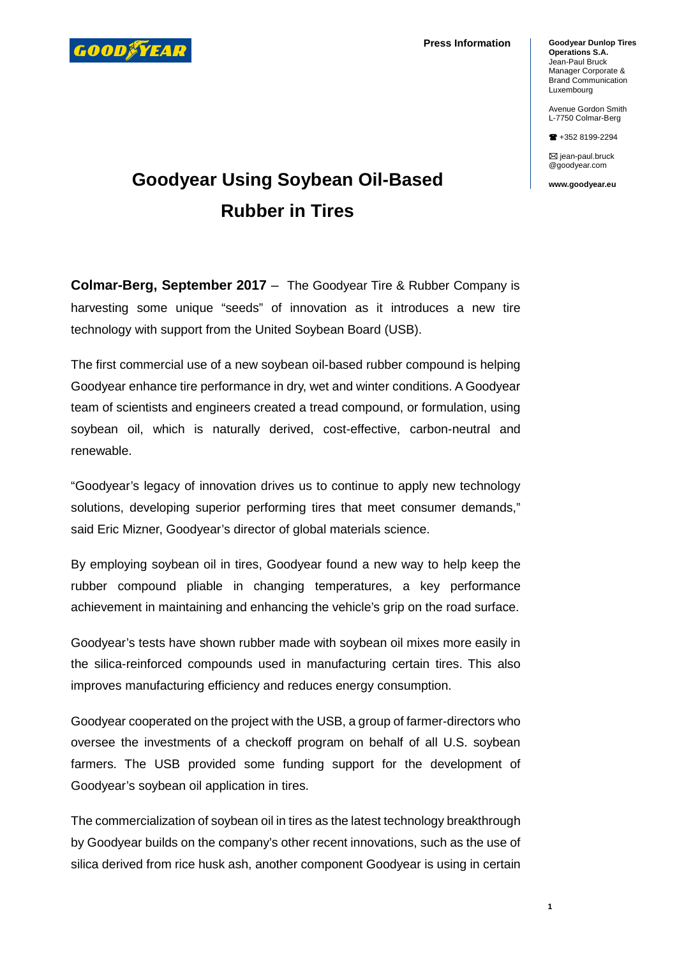

**Press Information**

**Goodyear Dunlop Tires Operations S.A.** Jean-Paul Bruck Manager Corporate & Brand Communication Luxembourg

Avenue Gordon Smith L-7750 Colmar-Berg

+352 8199-2294

 $\boxtimes$  jean-paul.bruck @goodyear.com

**www.goodyear.eu**

## **Goodyear Using Soybean Oil-Based Rubber in Tires**

**Colmar-Berg, September 2017** – The Goodyear Tire & Rubber Company is harvesting some unique "seeds" of innovation as it introduces a new tire technology with support from the United Soybean Board (USB).

The first commercial use of a new soybean oil-based rubber compound is helping Goodyear enhance tire performance in dry, wet and winter conditions. A Goodyear team of scientists and engineers created a tread compound, or formulation, using soybean oil, which is naturally derived, cost-effective, carbon-neutral and renewable.

"Goodyear's legacy of innovation drives us to continue to apply new technology solutions, developing superior performing tires that meet consumer demands," said Eric Mizner, Goodyear's director of global materials science.

By employing soybean oil in tires, Goodyear found a new way to help keep the rubber compound pliable in changing temperatures, a key performance achievement in maintaining and enhancing the vehicle's grip on the road surface.

Goodyear's tests have shown rubber made with soybean oil mixes more easily in the silica-reinforced compounds used in manufacturing certain tires. This also improves manufacturing efficiency and reduces energy consumption.

Goodyear cooperated on the project with the USB, a group of farmer-directors who oversee the investments of a checkoff program on behalf of all U.S. soybean farmers. The USB provided some funding support for the development of Goodyear's soybean oil application in tires.

The commercialization of soybean oil in tires as the latest technology breakthrough by Goodyear builds on the company's other recent innovations, such as the use of silica derived from rice husk ash, another component Goodyear is using in certain